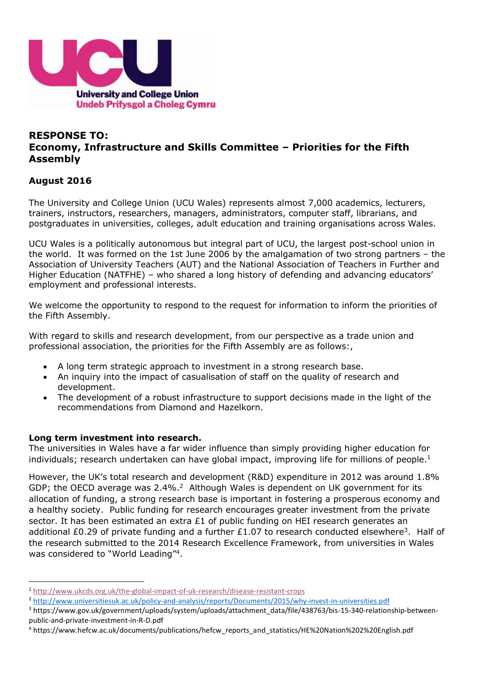

# **RESPONSE TO: Economy, Infrastructure and Skills Committee – Priorities for the Fifth Assembly**

# **August 2016**

1

The University and College Union (UCU Wales) represents almost 7,000 academics, lecturers, trainers, instructors, researchers, managers, administrators, computer staff, librarians, and postgraduates in universities, colleges, adult education and training organisations across Wales.

UCU Wales is a politically autonomous but integral part of UCU, the largest post-school union in the world. It was formed on the 1st June 2006 by the amalgamation of two strong partners – the Association of University Teachers (AUT) and the National Association of Teachers in Further and Higher Education (NATFHE) – who shared a long history of defending and advancing educators' employment and professional interests.

We welcome the opportunity to respond to the request for information to inform the priorities of the Fifth Assembly.

With regard to skills and research development, from our perspective as a trade union and professional association, the priorities for the Fifth Assembly are as follows:,

- A long term strategic approach to investment in a strong research base.
- An inquiry into the impact of casualisation of staff on the quality of research and development.
- The development of a robust infrastructure to support decisions made in the light of the recommendations from Diamond and Hazelkorn.

### **Long term investment into research.**

The universities in Wales have a far wider influence than simply providing higher education for individuals; research undertaken can have global impact, improving life for millions of people.<sup>1</sup>

However, the UK's total research and development (R&D) expenditure in 2012 was around 1.8% GDP; the OECD average was  $2.4\%$ .<sup>2</sup> Although Wales is dependent on UK government for its allocation of funding, a strong research base is important in fostering a prosperous economy and a healthy society. Public funding for research encourages greater investment from the private sector. It has been estimated an extra £1 of public funding on HEI research generates an additional £0.29 of private funding and a further £1.07 to research conducted elsewhere<sup>3</sup>. Half of the research submitted to the 2014 Research Excellence Framework, from universities in Wales was considered to "World Leading"<sup>4</sup>.

<sup>1</sup> <http://www.ukcds.org.uk/the-global-impact-of-uk-research/disease-resistant-crops>

<sup>2</sup> <http://www.universitiesuk.ac.uk/policy-and-analysis/reports/Documents/2015/why-invest-in-universities.pdf>

<sup>&</sup>lt;sup>3</sup> https://www.gov.uk/government/uploads/system/uploads/attachment\_data/file/438763/bis-15-340-relationship-betweenpublic-and-private-investment-in-R-D.pdf

<sup>&</sup>lt;sup>4</sup> https://www.hefcw.ac.uk/documents/publications/hefcw reports and statistics/HE%20Nation%202%20English.pdf